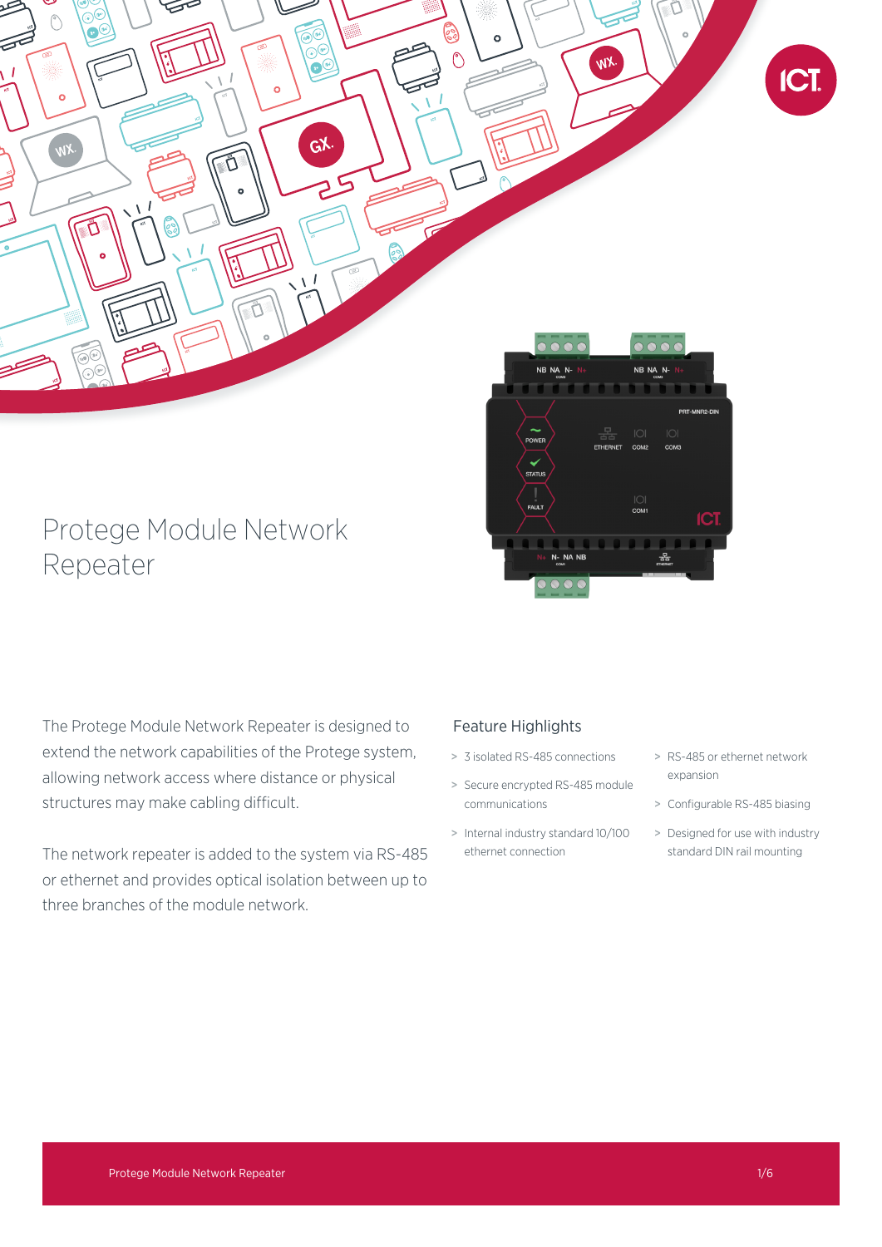

# Protege Module Network Repeater

The Protege Module Network Repeater is designed to extend the network capabilities of the Protege system, allowing network access where distance or physical structures may make cabling difficult.

The network repeater is added to the system via RS-485 or ethernet and provides optical isolation between up to three branches of the module network.

# Feature Highlights

- > 3 isolated RS-485 connections
- > Secure encrypted RS-485 module communications
- > Internal industry standard 10/100 ethernet connection
- > RS-485 or ethernet network expansion
- > Configurable RS-485 biasing
- > Designed for use with industry standard DIN rail mounting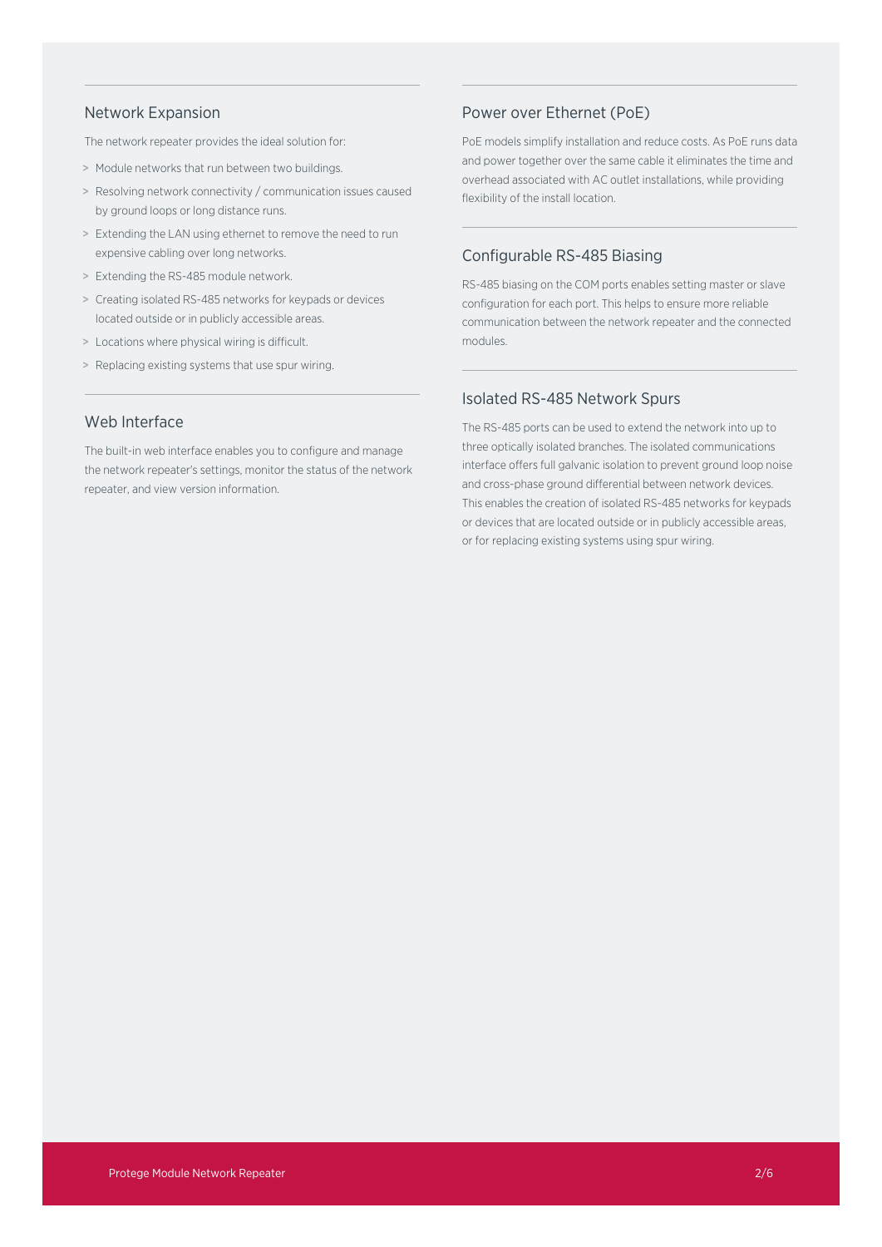### Network Expansion

The network repeater provides the ideal solution for:

- > Module networks that run between two buildings.
- > Resolving network connectivity / communication issues caused by ground loops or long distance runs.
- > Extending the LAN using ethernet to remove the need to run expensive cabling over long networks.
- > Extending the RS-485 module network.
- > Creating isolated RS-485 networks for keypads or devices located outside or in publicly accessible areas.
- > Locations where physical wiring is difficult.
- > Replacing existing systems that use spur wiring.

# Web Interface

The built-in web interface enables you to configure and manage the network repeater's settings, monitor the status of the network repeater, and view version information.

### Power over Ethernet (PoE)

PoE models simplify installation and reduce costs. As PoE runs data and power together over the same cable it eliminates the time and overhead associated with AC outlet installations, while providing flexibility of the install location.

# Configurable RS-485 Biasing

RS-485 biasing on the COM ports enables setting master or slave configuration for each port. This helps to ensure more reliable communication between the network repeater and the connected modules.

### Isolated RS-485 Network Spurs

The RS-485 ports can be used to extend the network into up to three optically isolated branches. The isolated communications interface offers full galvanic isolation to prevent ground loop noise and cross-phase ground differential between network devices. This enables the creation of isolated RS-485 networks for keypads or devices that are located outside or in publicly accessible areas, or for replacing existing systems using spur wiring.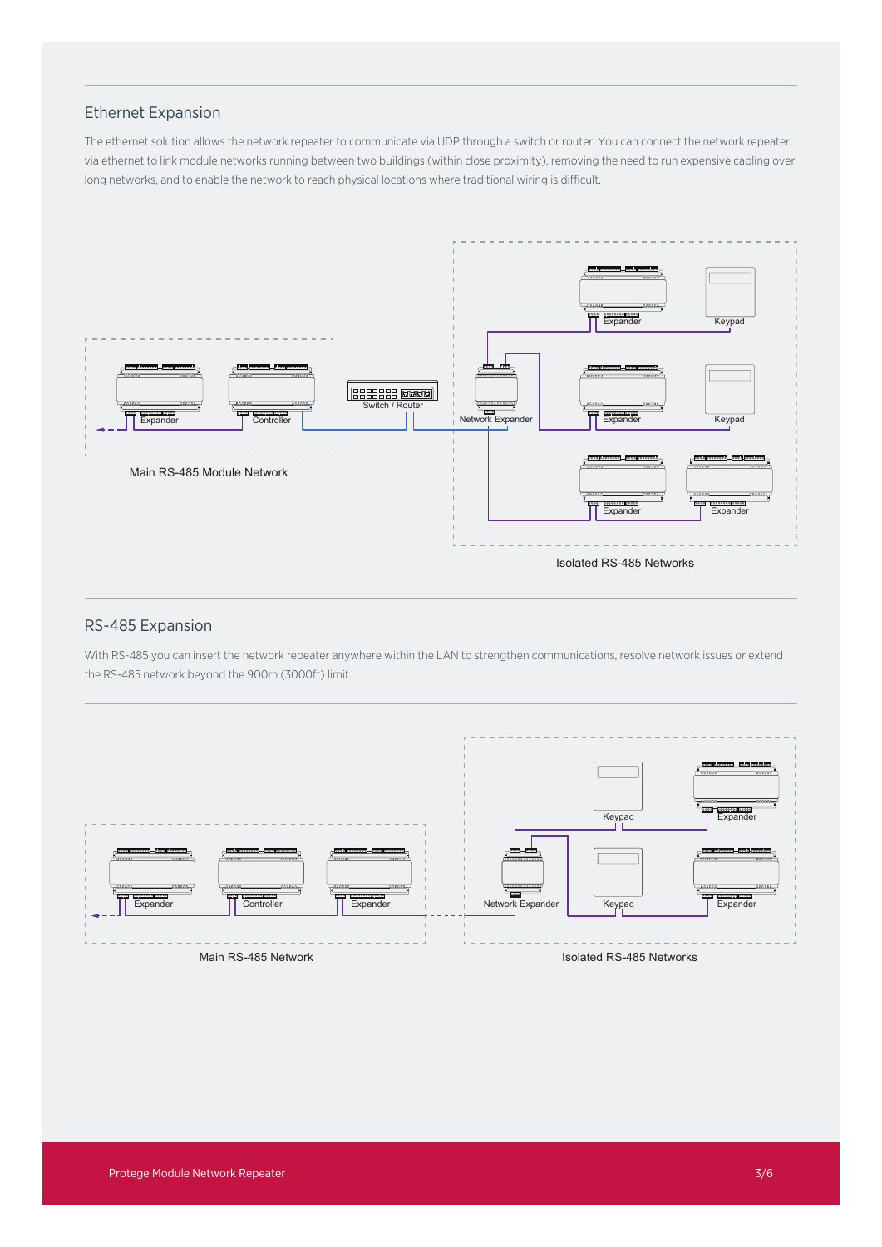# Ethernet Expansion

The ethernet solution allows the network repeater to communicate via UDP through a switch or router. You can connect the network repeater via ethernet to link module networks running between two buildings (within close proximity), removing the need to run expensive cabling over long networks, and to enable the network to reach physical locations where traditional wiring is difficult.



# RS-485 Expansion

With RS-485 you can insert the network repeater anywhere within the LAN to strengthen communications, resolve network issues or extend the RS-485 network beyond the 900m (3000ft) limit.

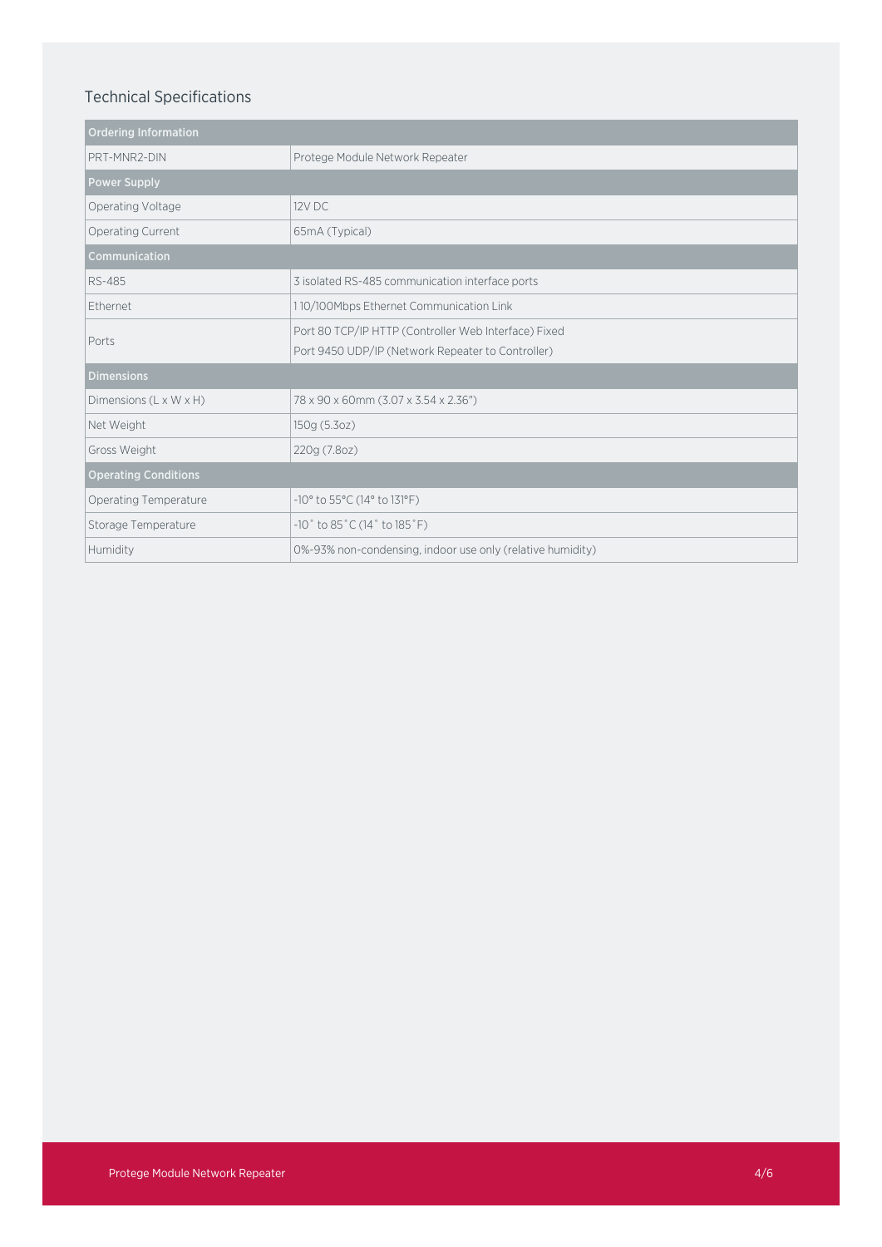# Technical Specifications

| <b>Ordering Information</b> |                                                                      |
|-----------------------------|----------------------------------------------------------------------|
| PRT-MNR2-DIN                | Protege Module Network Repeater                                      |
| <b>Power Supply</b>         |                                                                      |
| Operating Voltage           | 12V DC                                                               |
| Operating Current           | 65mA (Typical)                                                       |
| Communication               |                                                                      |
| RS-485                      | 3 isolated RS-485 communication interface ports                      |
| <b>Fthernet</b>             | 110/100Mbps Ethernet Communication Link                              |
| Ports                       | Port 80 TCP/IP HTTP (Controller Web Interface) Fixed                 |
|                             | Port 9450 UDP/IP (Network Repeater to Controller)                    |
| <b>Dimensions</b>           |                                                                      |
| Dimensions (L x W x H)      | 78 x 90 x 60mm (3.07 x 3.54 x 2.36")                                 |
| Net Weight                  | 150g (5.3oz)                                                         |
| Gross Weight                | 220g (7.8oz)                                                         |
| <b>Operating Conditions</b> |                                                                      |
| Operating Temperature       | -10° to 55°C (14° to 131°F)                                          |
| Storage Temperature         | $-10^{\circ}$ to 85 $^{\circ}$ C (14 $^{\circ}$ to 185 $^{\circ}$ F) |
| Humidity                    | 0%-93% non-condensing, indoor use only (relative humidity)           |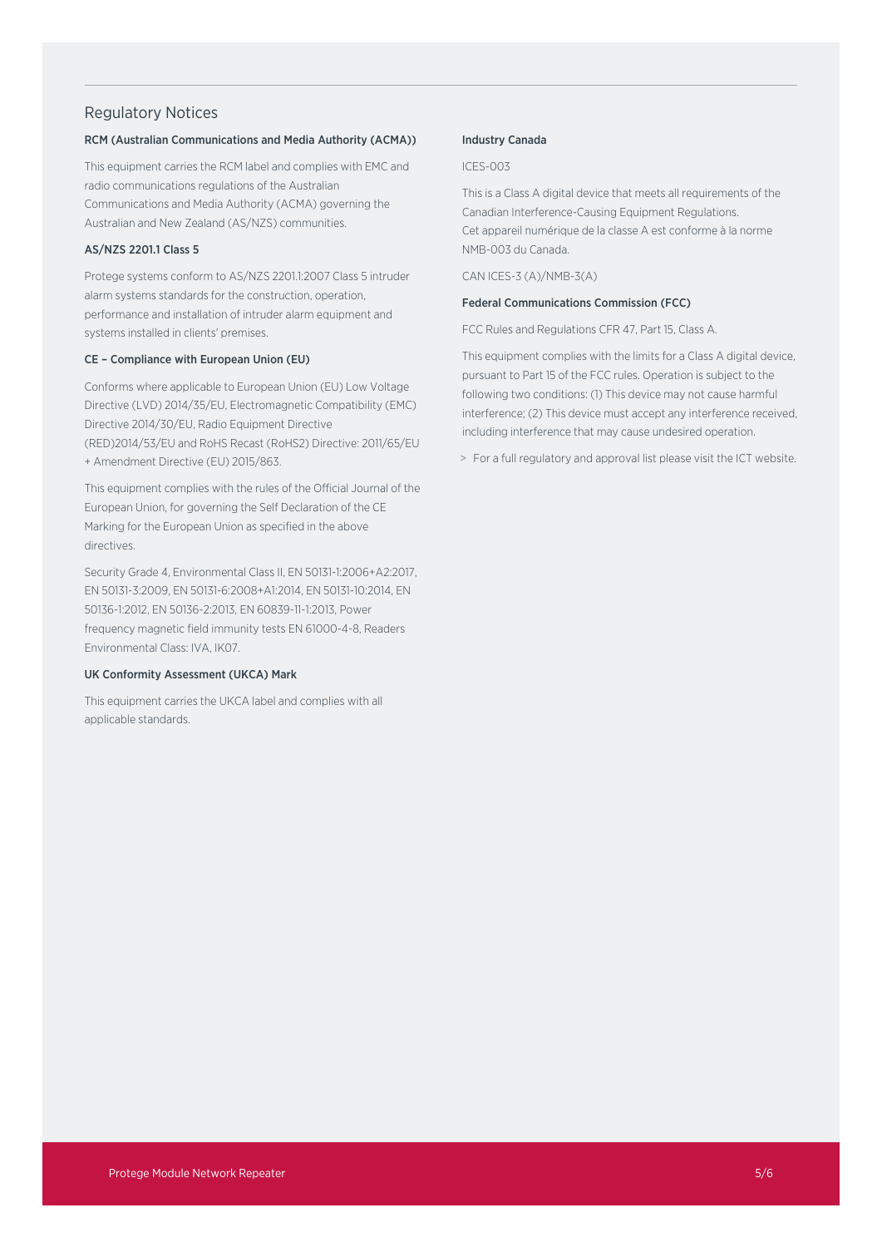### Regulatory Notices

### RCM (Australian Communications and Media Authority (ACMA))

This equipment carries the RCM label and complies with EMC and radio communications regulations of the Australian Communications and Media Authority (ACMA) governing the Australian and New Zealand (AS/NZS) communities.

### AS/NZS 2201.1 Class 5

Protege systems conform to AS/NZS 2201.1:2007 Class 5 intruder alarm systems standards for the construction, operation, performance and installation of intruder alarm equipment and systems installed in clients' premises.

#### CE – Compliance with European Union (EU)

Conforms where applicable to European Union (EU) Low Voltage Directive (LVD) 2014/35/EU, Electromagnetic Compatibility (EMC) Directive 2014/30/EU, Radio Equipment Directive (RED)2014/53/EU and RoHS Recast (RoHS2) Directive: 2011/65/EU + Amendment Directive (EU) 2015/863.

This equipment complies with the rules of the Official Journal of the European Union, for governing the Self Declaration of the CE Marking for the European Union as specified in the above directives.

Security Grade 4, Environmental Class II, EN 50131-1:2006+A2:2017, EN 50131-3:2009, EN 50131-6:2008+A1:2014, EN 50131-10:2014, EN 50136-1:2012, EN 50136-2:2013, EN 60839-11-1:2013, Power frequency magnetic field immunity tests EN 61000-4-8, Readers Environmental Class: IVA, IK07.

### UK Conformity Assessment (UKCA) Mark

This equipment carries the UKCA label and complies with all applicable standards.

### Industry Canada

ICES-003

This is a Class A digital device that meets all requirements of the Canadian Interference-Causing Equipment Regulations. Cet appareil numérique de la classe A est conforme à la norme NMB-003 du Canada.

CAN ICES-3 (A)/NMB-3(A)

### Federal Communications Commission (FCC)

FCC Rules and Regulations CFR 47, Part 15, Class A.

This equipment complies with the limits for a Class A digital device, pursuant to Part 15 of the FCC rules. Operation is subject to the following two conditions: (1) This device may not cause harmful interference; (2) This device must accept any interference received, including interference that may cause undesired operation.

> For a full regulatory and approval list please visit the ICT website.